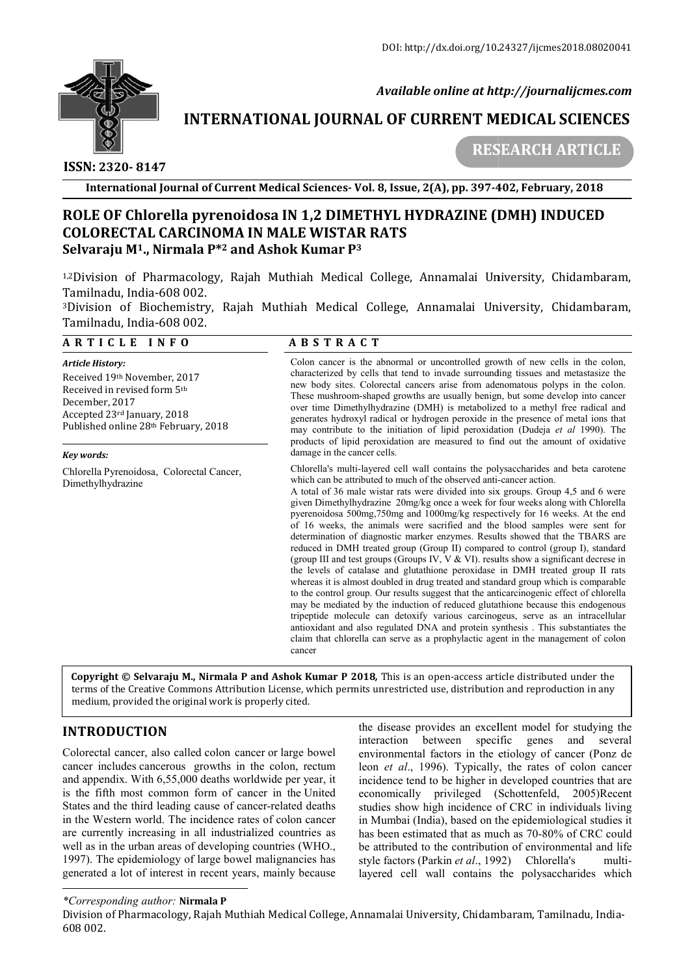

 *Available online at http://journalijcmes.com*

# **INTERNATIONAL JOURNAL OF CURRENT MEDICAL SCIENCES SCIENCES**

 **ISSN: 2320- 8147**

 **RESEARCH ARTICLE**

**International Journal of Current Medical Sciences Sciences- Vol. 8, Issue, 2(A), pp. 397-402 402, February, 2018**

## **ROLE OF Chlorella pyrenoidosa IN 1,2 DIMETHYL HYDRAZINE (DMH) INDUCED Chlorella pyrenoidosa IN HYDRAZINE (DMH) COLORECTAL CARCINOMA IN MALE WISTAR RATS Selvaraju M1., Nirmala P\*2 and Ashok Kumar P3**

1,2Division of Pharmacology, Rajah Muthiah Medical College, Annamalai University, Chidambaram, Division Tamilnadu, India-608 002. <sup>1,2</sup>Division of Pharmacology, Rajah Muthiah Medical College, Annamalai University, Chidambaram,<br>Tamilnadu,India-608 002.<br><sup>3</sup>Division of Biochemistry, Rajah Muthiah Medical College, Annamalai University, Chidambaram,

Tamilnadu, India-608 002.

| ARTICLE INFO                                                                                                                                                                                   |                             | <b>ABSTRACT</b>                                                                                                                                                                                                                                                                                                                                                                                                                                                                                                                                                                                                                                                                                                                                                                                                                                                                                                                                                                                                                                                                                                                                                                                                                                                                                                                                                                      |  |  |
|------------------------------------------------------------------------------------------------------------------------------------------------------------------------------------------------|-----------------------------|--------------------------------------------------------------------------------------------------------------------------------------------------------------------------------------------------------------------------------------------------------------------------------------------------------------------------------------------------------------------------------------------------------------------------------------------------------------------------------------------------------------------------------------------------------------------------------------------------------------------------------------------------------------------------------------------------------------------------------------------------------------------------------------------------------------------------------------------------------------------------------------------------------------------------------------------------------------------------------------------------------------------------------------------------------------------------------------------------------------------------------------------------------------------------------------------------------------------------------------------------------------------------------------------------------------------------------------------------------------------------------------|--|--|
| <b>Article History:</b><br>Received 19th November, 2017<br>Received in revised form 5th<br>December, 2017<br>Accepted 23rd January, 2018<br>Published online 28th February, 2018<br>Kev words: | damage in the cancer cells. | Colon cancer is the abnormal or uncontrolled growth of new cells in the colon,<br>characterized by cells that tend to invade surrounding tissues and metastasize the<br>new body sites. Colorectal cancers arise from adenomatous polyps in the colon.<br>These mushroom-shaped growths are usually benign, but some develop into cancer<br>over time Dimethylhydrazine (DMH) is metabolized to a methyl free radical and<br>generates hydroxyl radical or hydrogen peroxide in the presence of metal ions that<br>may contribute to the initiation of lipid peroxidation (Dudeja <i>et al</i> 1990). The<br>products of lipid peroxidation are measured to find out the amount of oxidative                                                                                                                                                                                                                                                                                                                                                                                                                                                                                                                                                                                                                                                                                         |  |  |
| Chlorella Pyrenoidosa, Colorectal Cancer,<br>Dimethylhydrazine                                                                                                                                 | cancer                      | Chlorella's multi-layered cell wall contains the polysaccharides and beta carotene<br>which can be attributed to much of the observed anti-cancer action.<br>A total of 36 male wistar rats were divided into six groups. Group 4,5 and 6 were<br>given Dimethylhydrazine 20mg/kg once a week for four weeks along with Chlorella<br>pyerenoidosa 500mg,750mg and 1000mg/kg respectively for 16 weeks. At the end<br>of 16 weeks, the animals were sacrified and the blood samples were sent for<br>determination of diagnostic marker enzymes. Results showed that the TBARS are<br>reduced in DMH treated group (Group II) compared to control (group I), standard<br>(group III and test groups (Groups IV, $V & V$ VI). results show a significant decrese in<br>the levels of catalase and glutathione peroxidase in DMH treated group II rats<br>whereas it is almost doubled in drug treated and standard group which is comparable<br>to the control group. Our results suggest that the anticarcinogenic effect of chlorella<br>may be mediated by the induction of reduced glutathione because this endogenous<br>tripeptide molecule can detoxify various carcinogeus, serve as an intracellular<br>antioxidant and also regulated DNA and protein synthesis. This substantiates the<br>claim that chlorella can serve as a prophylactic agent in the management of colon |  |  |
| medium, provided the original work is properly cited.                                                                                                                                          |                             | Copyright © Selvaraju M., Nirmala P and Ashok Kumar P 2018, This is an open-access article distributed under the<br>terms of the Creative Commons Attribution License, which permits unrestricted use, distribution and reproduction in any                                                                                                                                                                                                                                                                                                                                                                                                                                                                                                                                                                                                                                                                                                                                                                                                                                                                                                                                                                                                                                                                                                                                          |  |  |
| <b>INTRODUCTION</b>                                                                                                                                                                            |                             | the disease provides an excellent model for studying the<br>specific<br>interaction<br>between<br>genes<br>and<br>several                                                                                                                                                                                                                                                                                                                                                                                                                                                                                                                                                                                                                                                                                                                                                                                                                                                                                                                                                                                                                                                                                                                                                                                                                                                            |  |  |
| Colorectal cancer, also called colon cancer or large bowel                                                                                                                                     |                             | environmental factors in the etiology of cancer (Ponz de                                                                                                                                                                                                                                                                                                                                                                                                                                                                                                                                                                                                                                                                                                                                                                                                                                                                                                                                                                                                                                                                                                                                                                                                                                                                                                                             |  |  |

## **INTRODUCTION**

Colorectal cancer, also called colon cancer or large bowel cancer includes cancerous growths in the colon, rectum and appendix. With 6,55,000 deaths worldwide per year, it . is the fifth most common form of cancer in the United States and the third leading cause of cancer-related deaths in the Western world. The incidence rates of colon cancer are currently increasing in all industrialized countries as well as in the urban areas of developing countries (WHO., 1997). The epidemiology of large bowel malignancies has generated a lot of interest in recent years, mainly because

the disease provides an excellent model for studying the interaction between specific genes and several environmental factors in the etiology of cancer (Ponz de leon *et al*., 1996). Typically, the rates of colon cancer incidence tend to be higher in developed countries that are economically privileged (Schottenfeld, 2005)Recent studies show high incidence of CRC in individuals living in Mumbai (India), based on the epidemiological studies it has been estimated that as much as 70-80% of CRC could be attributed to the contribution of environmental and life style factors (Parkin *et al*., 1992) Chlorella's multilayered cell wall contains the polysaccharides which *rates (I.* 1996). Typically, the rates of colon cancer tend to be higher in developed countries that are ally privileged (Schottenfeld, 2005)Recent now high incidence of CRC in individuals living ai (India), based on the

#### *\*Corresponding author:* **Nirmala P**

Division of Pharmacology, Rajah Muthiah Medical College, Annamalai University, Chidambaram, Tamilnadu, India College, Annamalai India-608 002.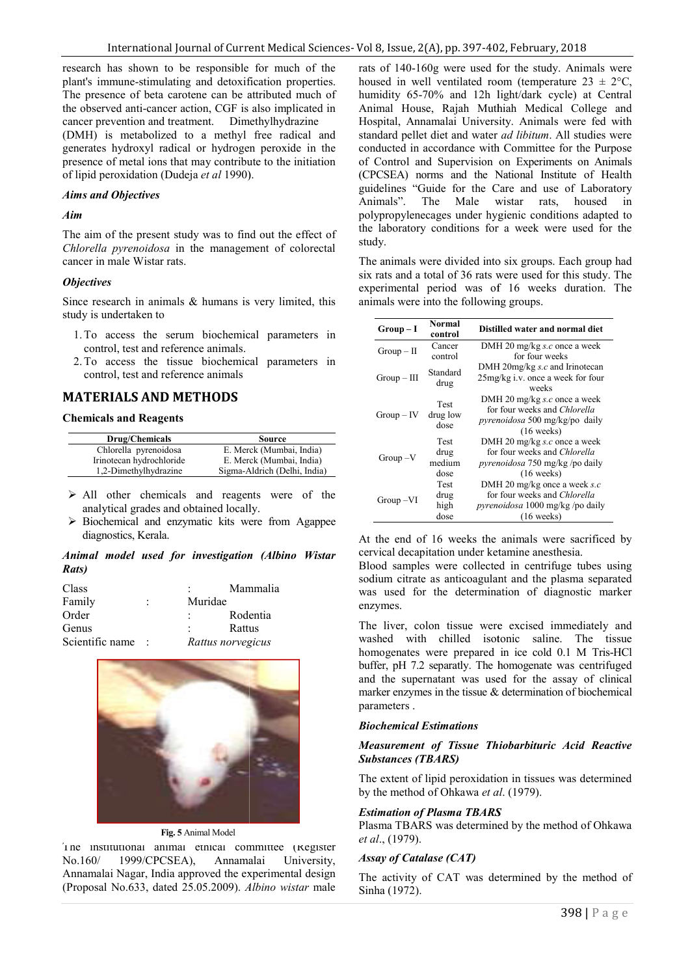research has shown to be responsible for much of the plant's immune-stimulating and detoxification properties. The presence of beta carotene can be attributed much of the observed anti-cancer action, CGF is also implicated in cancer prevention and treatment. Dimethylhydrazine (DMH) is metabolized to a methyl free radical and generates hydroxyl radical or hydrogen peroxide in the presence of metal ions that may contribute to the initiation of lipid peroxidation (Dudeja *et al* 1990). I's immune-stimulating and detoxificatic<br>presence of beta carotene can be attributed phaserved anti-cancer action, GGF is also<br>er prevention and treatment. Dimethyl<br>H) is metabolized to a methyl free<br>rates hydroxyl radica

#### *Aims and Objectives*

#### *Aim*

The aim of the present study was to find out the effect of *Chlorella pyrenoidosa* in the management of colorectal cancer in male Wistar rats.

#### *Objectives*

Since research in animals & humans is very limited, this study is undertaken to

- 1.To access the serum biochemical parameters in control, test and reference animals.
- 2.To access the tissue biochemical parameters in control, test and reference animals

## **MATERIALS AND METHODS**

#### **Chemicals and Reagents**

| Drug/Chemicals           | Source                       |  |
|--------------------------|------------------------------|--|
| Chlorella pyrenoidosa    | E. Merck (Mumbai, India)     |  |
| Irinotecan hydrochloride | E. Merck (Mumbai, India)     |  |
| 1,2-Dimethylhydrazine    | Sigma-Aldrich (Delhi, India) |  |

- All other chemicals and reagents were of the analytical grades and obtained locally.
- $\triangleright$  Biochemical and enzymatic kits were from Agappee diagnostics, Kerala.

## *Animal model used for investigation (Albino Wistar Rats)*

| Class           |                      |         | Mammalia          |
|-----------------|----------------------|---------|-------------------|
| Family          | $\ddot{\phantom{a}}$ | Muridae |                   |
| Order           |                      | ٠       | Rodentia          |
| Genus           |                      | ٠       | Rattus            |
| Scientific name | ÷                    |         | Rattus norvegicus |



#### **Fig. 5** Animal Model

The institutional animal ethical committee (Register No.160/ 1999/CPCSEA), Annamalai University, Annamalai Nagar, India approved the experimental design (Proposal No.633, dated 25.05.2009). *Albino wistar* male

rats of 140-160g were used for the study. Animals were housed in well ventilated room (temperature  $23 \pm 2$ °C, humidity 65-70% and 12h light/dark cycle) at Central Animal House, Rajah Muthiah Medical College and Hospital, Annamalai University. Animals were fed with standard pellet diet and water *ad libitum*. All studies were conducted in accordance with Committee for the Purpose conducted in accordance with Committee for the Purpose<br>of Control and Supervision on Experiments on Animals (CPCSEA) norms and the National Institute National Institute of Health guidelines "Guide for the Care and use of Laboratory<br>Animals". The Male wistar rats, housed in Animals". The Male wistar rats. polypropylenecages under hygienic conditions adapted to the laboratory conditions for a week were used for the study. polypropylenecages under hygienic conditions adapted to the laboratory conditions for a week were used for the study.<br>The animals were divided into six groups. Each group had six rats and a total of 36 rats were used for t housed in well ventilated room (temperature  $23 \pm 2$ °C, humidity 65-70% and 12h light/dark cycle) at Central Animal House, Rajah Muthiah Medical College and Hospital, Annamalai University. Animals were fed with standard p

The animals were divided into six groups. Each group had experimental period was of 16 weeks duration. The animals were into the following groups.

| s very limited, this                                                           |                                                                                                                                                                                                                                                                                                                                                                                         |                                | experimental period was of 16 weeks duration. The<br>animals were into the following groups.                                      |  |  |  |
|--------------------------------------------------------------------------------|-----------------------------------------------------------------------------------------------------------------------------------------------------------------------------------------------------------------------------------------------------------------------------------------------------------------------------------------------------------------------------------------|--------------------------------|-----------------------------------------------------------------------------------------------------------------------------------|--|--|--|
| cal parameters in                                                              | $Group-I$                                                                                                                                                                                                                                                                                                                                                                               | Normal<br>control              | Distilled water and normal diet                                                                                                   |  |  |  |
|                                                                                | $Group-II$                                                                                                                                                                                                                                                                                                                                                                              | Cancer<br>control              | DMH 20 mg/kg s.c once a week<br>for four weeks                                                                                    |  |  |  |
| cal parameters in                                                              | $Group - III$                                                                                                                                                                                                                                                                                                                                                                           | Standard<br>drug               | DMH 20mg/kg $s.c$ and Irinotecan<br>25mg/kg i.v. once a week for four<br>weeks                                                    |  |  |  |
|                                                                                | $Group - IV$                                                                                                                                                                                                                                                                                                                                                                            | Test<br>drug low<br>dose       | DMH 20 mg/kg s.c once a week<br>for four weeks and Chlorella<br><i>pyrenoidosa</i> 500 mg/kg/po daily<br>$(16 \text{ weeks})$     |  |  |  |
| Source<br>rck (Mumbai, India)<br>rck (Mumbai, India)<br>Aldrich (Delhi, India) | $Group-V$                                                                                                                                                                                                                                                                                                                                                                               | Test<br>drug<br>medium<br>dose | DMH 20 mg/kg s.c once a week<br>for four weeks and Chlorella<br><i>pyrenoidosa</i> 750 mg/kg /po daily<br>$(16 \text{ weeks})$    |  |  |  |
| were of the<br>ents<br>lly.<br>vere from Agappee                               | Group-VI                                                                                                                                                                                                                                                                                                                                                                                | Test<br>drug<br>high<br>dose   | DMH 20 mg/kg once a week $s.c$<br>for four weeks and Chlorella<br><i>pyrenoidosa</i> 1000 mg/kg /po daily<br>$(16 \text{ weeks})$ |  |  |  |
| n (Albino Wistar<br>mmalia                                                     | At the end of 16 weeks the animals were sacrificed by<br>cervical decapitation under ketamine anesthesia.<br>Blood samples were collected in centrifuge tubes using<br>sodium citrate as anticoagulant and the plasma separated<br>was used for the determination of diagnostic marker<br>enzymes.                                                                                      |                                |                                                                                                                                   |  |  |  |
| dentia<br>tus<br>gicus?                                                        | The liver, colon tissue were excised immediately and<br>with<br>chilled<br>isotonic<br>washed<br>saline.<br>The<br>tissue<br>homogenates were prepared in ice cold 0.1 M Tris-HCl<br>buffer, pH 7.2 separatly. The homogenate was centrifuged<br>and the supernatant was used for the assay of clinical<br>marker enzymes in the tissue $&$ determination of biochemical<br>parameters. |                                |                                                                                                                                   |  |  |  |
|                                                                                |                                                                                                                                                                                                                                                                                                                                                                                         | <b>Biochemical Estimations</b> |                                                                                                                                   |  |  |  |
|                                                                                | <b>Substances (TBARS)</b>                                                                                                                                                                                                                                                                                                                                                               |                                | Measurement of Tissue Thiobarbituric Acid Reactive                                                                                |  |  |  |
|                                                                                | The extent of lipid peroxidation in tissues was determined<br>by the method of Ohkawa et al. (1979).                                                                                                                                                                                                                                                                                    |                                |                                                                                                                                   |  |  |  |
|                                                                                | <b>Estimation of Plasma TBARS</b><br>Plasma TBARS was determined by the method of Ohkawa<br>et al., (1979).                                                                                                                                                                                                                                                                             |                                |                                                                                                                                   |  |  |  |
| mmittee (Register<br>ıalai<br>University,                                      | Assay of Catalase (CAT)                                                                                                                                                                                                                                                                                                                                                                 |                                |                                                                                                                                   |  |  |  |
| experimental design                                                            | The activity of CAT was determined by the method of                                                                                                                                                                                                                                                                                                                                     |                                |                                                                                                                                   |  |  |  |

### *Biochemical Estimations*

### **Measurement of Tissue Thiobarbituric Acid Reactive** *Substances (TBARS)*

### *Estimation of Plasma TBARS*

#### *Assay of Catalase (CAT)*

The activity of CAT was determined by the method of Sinha (1972).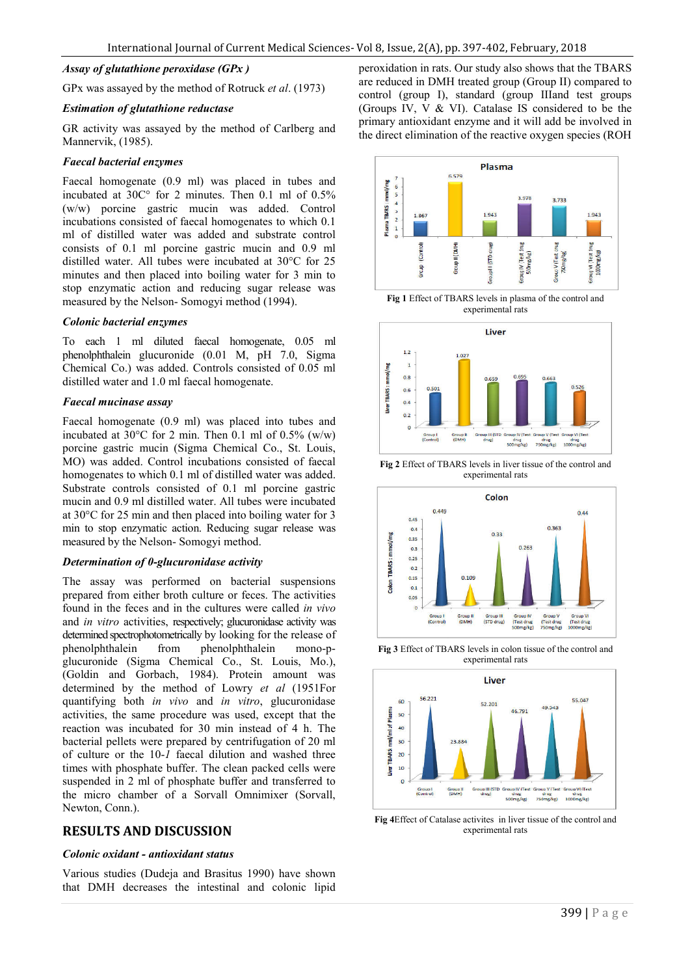## *Assay of glutathione peroxidase (GPx )*

GPx was assayed by the method of Rotruck *et al*. (1973)

#### *Estimation of glutathione reductase*

GR activity was assayed by the method of Carlberg and Mannervik, (1985).

#### *Faecal bacterial enzymes*

Faecal homogenate (0.9 ml) was placed in tubes and incubated at 30C° for 2 minutes. Then 0.1 ml of 0.5% (w/w) porcine gastric mucin was added. Control incubations consisted of faecal homogenates to which 0.1 ml of distilled water was added and substrate control consists of 0.1 ml porcine gastric mucin and 0.9 ml distilled water. All tubes were incubated at 30°C for 25 minutes and then placed into boiling water for 3 min to stop enzymatic action and reducing sugar release was measured by the Nelson- Somogyi method (1994).

#### *Colonic bacterial enzymes*

To each 1 ml diluted faecal homogenate, 0.05 ml phenolphthalein glucuronide (0.01 M, pH 7.0, Sigma Chemical Co.) was added. Controls consisted of 0.05 ml distilled water and 1.0 ml faecal homogenate.

#### *Faecal mucinase assay*

Faecal homogenate (0.9 ml) was placed into tubes and incubated at  $30^{\circ}$ C for 2 min. Then 0.1 ml of 0.5% (w/w) porcine gastric mucin (Sigma Chemical Co., St. Louis, MO) was added. Control incubations consisted of faecal homogenates to which 0.1 ml of distilled water was added. Substrate controls consisted of 0.1 ml porcine gastric mucin and 0.9 ml distilled water. All tubes were incubated at 30°C for 25 min and then placed into boiling water for 3 min to stop enzymatic action. Reducing sugar release was measured by the Nelson- Somogyi method.

#### *Determination of 0-glucuronidase activity*

The assay was performed on bacterial suspensions prepared from either broth culture or feces. The activities found in the feces and in the cultures were called *in vivo* and *in vitro* activities, respectively; glucuronidase activity was determined spectrophotometrically by looking for the release of phenolphthalein from phenolphthalein mono-pglucuronide (Sigma Chemical Co., St. Louis, Mo.), (Goldin and Gorbach, 1984). Protein amount was determined by the method of Lowry *et al* (1951For quantifying both *in vivo* and *in vitro*, glucuronidase activities, the same procedure was used, except that the reaction was incubated for 30 min instead of 4 h. The bacterial pellets were prepared by centrifugation of 20 ml of culture or the 10-*1* faecal dilution and washed three times with phosphate buffer. The clean packed cells were suspended in 2 ml of phosphate buffer and transferred to the micro chamber of a Sorvall Omnimixer (Sorvall, Newton, Conn.).

## **RESULTS AND DISCUSSION**

#### *Colonic oxidant - antioxidant status*

Various studies (Dudeja and Brasitus 1990) have shown that DMH decreases the intestinal and colonic lipid peroxidation in rats. Our study also shows that the TBARS are reduced in DMH treated group (Group II) compared to control (group I), standard (group IIIand test groups (Groups IV, V & VI). Catalase IS considered to be the primary antioxidant enzyme and it will add be involved in the direct elimination of the reactive oxygen species (ROH



**Fig 1** Effect of TBARS levels in plasma of the control and experimental rats



**Fig 2** Effect of TBARS levels in liver tissue of the control and experimental rats



**Fig 3** Effect of TBARS levels in colon tissue of the control and experimental rats



**Fig 4**Effect of Catalase activites in liver tissue of the control and experimental rats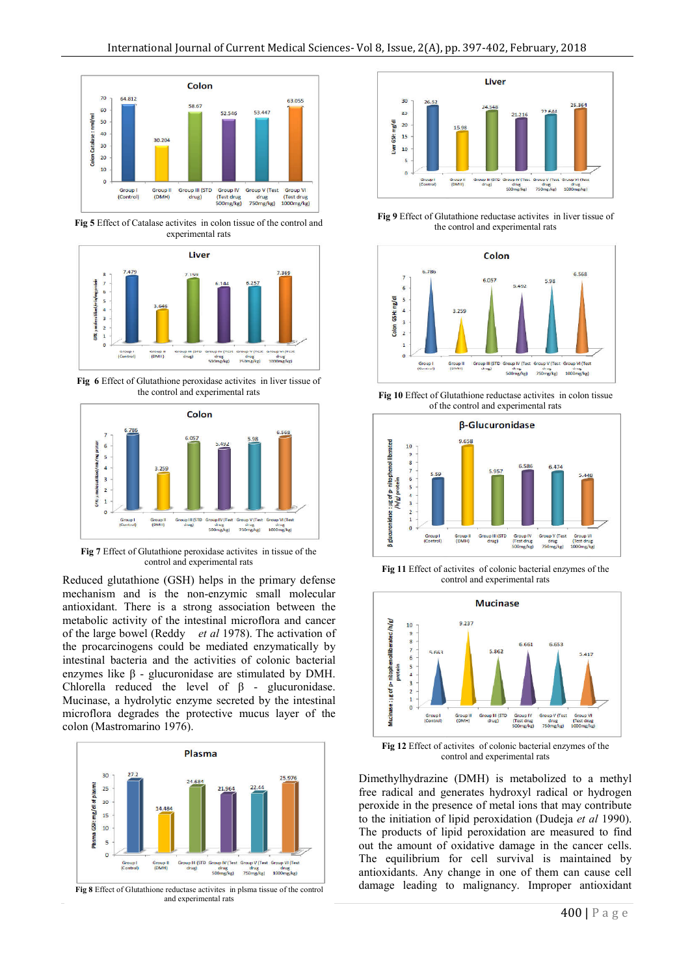

**Fig 5** Effect of Catalase activites in colon tissue of the control and experimental rats



**Fig 6** Effect of Glutathione peroxidase activites in liver tissue of the control and experimental rats



**Fig 7** Effect of Glutathione peroxidase activites in tissue of the control and experimental rats

Reduced glutathione (GSH) helps in the primary defense mechanism and is the non-enzymic small molecular antioxidant. There is a strong association between the metabolic activity of the intestinal microflora and cancer of the large bowel (Reddy *et al* 1978). The activation of the procarcinogens could be mediated enzymatically by intestinal bacteria and the activities of colonic bacterial enzymes like β - glucuronidase are stimulated by DMH. Chlorella reduced the level of  $\beta$  - glucuronidase. Mucinase, a hydrolytic enzyme secreted by the intestinal microflora degrades the protective mucus layer of the colon (Mastromarino 1976).



**Fig 8** Effect of Glutathione reductase activites in plsma tissue of the control and experimental rats



**Fig 9** Effect of Glutathione reductase activites in liver tissue of the control and experimental rats



**Fig 10** Effect of Glutathione reductase activites in colon tissue of the control and experimental rats



**Fig 11** Effect of activites of colonic bacterial enzymes of the control and experimental rats



**Fig 12** Effect of activites of colonic bacterial enzymes of the control and experimental rats

Dimethylhydrazine (DMH) is metabolized to a methyl free radical and generates hydroxyl radical or hydrogen peroxide in the presence of metal ions that may contribute to the initiation of lipid peroxidation (Dudeja *et al* 1990). The products of lipid peroxidation are measured to find out the amount of oxidative damage in the cancer cells. The equilibrium for cell survival is maintained by antioxidants. Any change in one of them can cause cell damage leading to malignancy. Improper antioxidant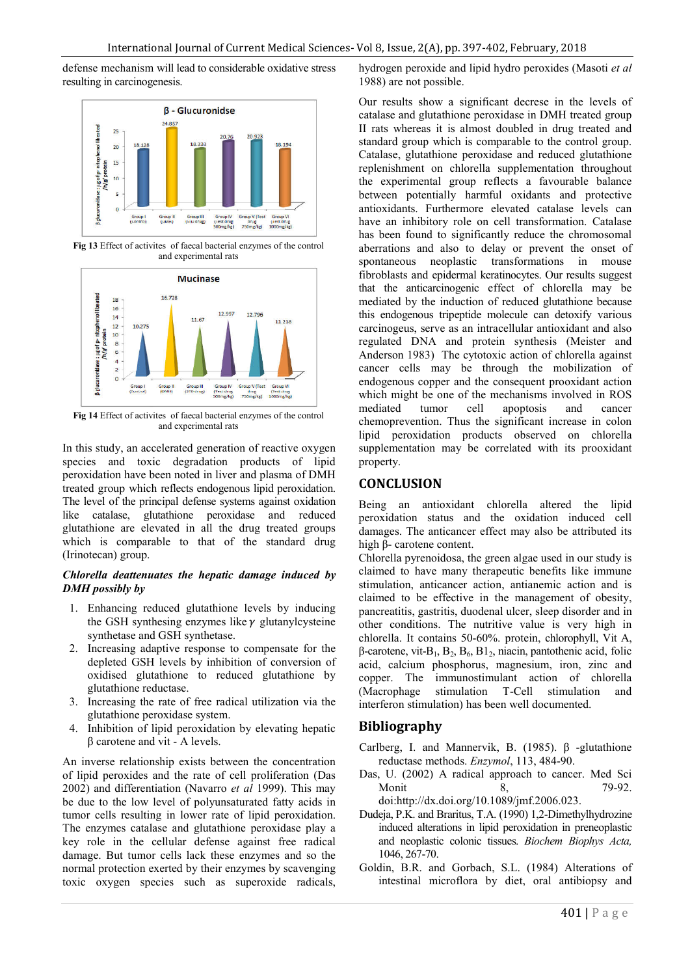defense mechanism will lead to considerable oxidative stress resulting in carcinogenesis.



**Fig 13** Effect of activites of faecal bacterial enzymes of the control and experimental rats



**Fig 14** Effect of activites of faecal bacterial enzymes of the control and experimental rats

In this study, an accelerated generation of reactive oxygen species and toxic degradation products of lipid peroxidation have been noted in liver and plasma of DMH treated group which reflects endogenous lipid peroxidation. The level of the principal defense systems against oxidation like catalase, glutathione peroxidase and reduced glutathione are elevated in all the drug treated groups which is comparable to that of the standard drug (Irinotecan) group.

## *Chlorella deattenuates the hepatic damage induced by DMH possibly by*

- 1. Enhancing reduced glutathione levels by inducing the GSH synthesing enzymes like  $\gamma$  glutanylcysteine synthetase and GSH synthetase.
- 2. Increasing adaptive response to compensate for the depleted GSH levels by inhibition of conversion of oxidised glutathione to reduced glutathione by glutathione reductase.
- 3. Increasing the rate of free radical utilization via the glutathione peroxidase system.
- 4. Inhibition of lipid peroxidation by elevating hepatic β carotene and vit - A levels.

An inverse relationship exists between the concentration of lipid peroxides and the rate of cell proliferation (Das 2002) and differentiation (Navarro *et al* 1999). This may be due to the low level of polyunsaturated fatty acids in tumor cells resulting in lower rate of lipid peroxidation. The enzymes catalase and glutathione peroxidase play a key role in the cellular defense against free radical damage. But tumor cells lack these enzymes and so the normal protection exerted by their enzymes by scavenging toxic oxygen species such as superoxide radicals, hydrogen peroxide and lipid hydro peroxides (Masoti *et al* 1988) are not possible.

Our results show a significant decrese in the levels of catalase and glutathione peroxidase in DMH treated group II rats whereas it is almost doubled in drug treated and standard group which is comparable to the control group. Catalase, glutathione peroxidase and reduced glutathione replenishment on chlorella supplementation throughout the experimental group reflects a favourable balance between potentially harmful oxidants and protective antioxidants. Furthermore elevated catalase levels can have an inhibitory role on cell transformation. Catalase has been found to significantly reduce the chromosomal aberrations and also to delay or prevent the onset of spontaneous neoplastic transformations in mouse fibroblasts and epidermal keratinocytes. Our results suggest that the anticarcinogenic effect of chlorella may be mediated by the induction of reduced glutathione because this endogenous tripeptide molecule can detoxify various carcinogeus, serve as an intracellular antioxidant and also regulated DNA and protein synthesis (Meister and Anderson 1983) The cytotoxic action of chlorella against cancer cells may be through the mobilization of endogenous copper and the consequent prooxidant action which might be one of the mechanisms involved in ROS mediated tumor cell apoptosis and cancer chemoprevention. Thus the significant increase in colon lipid peroxidation products observed on chlorella supplementation may be correlated with its prooxidant property.

## **CONCLUSION**

Being an antioxidant chlorella altered the lipid peroxidation status and the oxidation induced cell damages. The anticancer effect may also be attributed its high β- carotene content.

Chlorella pyrenoidosa, the green algae used in our study is claimed to have many therapeutic benefits like immune stimulation, anticancer action, antianemic action and is claimed to be effective in the management of obesity, pancreatitis, gastritis, duodenal ulcer, sleep disorder and in other conditions. The nutritive value is very high in chlorella. It contains 50-60%. protein, chlorophyll, Vit A,  $β$ -carotene, vit-B<sub>1</sub>, B<sub>2</sub>, B<sub>6</sub>, B<sub>1</sub><sub>2</sub>, niacin, pantothenic acid, folic acid, calcium phosphorus, magnesium, iron, zinc and copper. The immunostimulant action of chlorella (Macrophage stimulation T-Cell stimulation and interferon stimulation) has been well documented.

## **Bibliography**

- Carlberg, I. and Mannervik, B. (1985). β -glutathione reductase methods. *Enzymol*, 113, 484-90.
- Das, U. (2002) A radical approach to cancer. Med Sci Monit 8, 79-92. doi:http://dx.doi.org/10.1089/jmf.2006.023.
- Dudeja, P.K. and Braritus, T.A. (1990) 1,2-Dimethylhydrozine induced alterations in lipid peroxidation in preneoplastic and neoplastic colonic tissues. *Biochem Biophys Acta,* 1046, 267-70.
- Goldin, B.R. and Gorbach, S.L. (1984) Alterations of intestinal microflora by diet, oral antibiopsy and